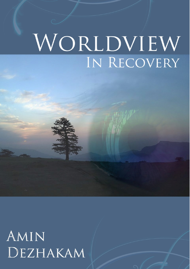## WORLDVIEW IN RECOVERY

AMIN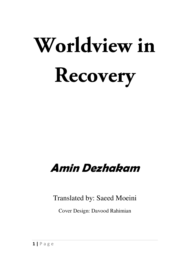# **Worldview in Recovery**

### **Amin Dezhakam**

Translated by: Saeed Moeini

Cover Design: Davood Rahimian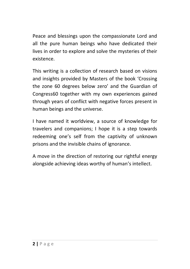Peace and blessings upon the compassionate Lord and all the pure human beings who have dedicated their lives in order to explore and solve the mysteries of their existence.

This writing is a collection of research based on visions and insights provided by Masters of the book 'Crossing the zone 60 degrees below zero' and the Guardian of Congress60 together with my own experiences gained through years of conflict with negative forces present in human beings and the universe.

I have named it worldview, a source of knowledge for travelers and companions; I hope it is a step towards redeeming one's self from the captivity of unknown prisons and the invisible chains of ignorance.

A move in the direction of restoring our rightful energy alongside achieving ideas worthy of human's intellect.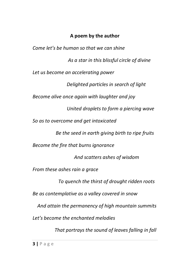#### **A poem by the author**

*Come let's be human so that we can shine As a star in this blissful circle of divine Let us become an accelerating power Delighted particles in search of light Become alive once again with laughter and joy United droplets to form a piercing wave So as to overcome and get intoxicated Be the seed in earth giving birth to ripe fruits Become the fire that burns ignorance And scatters ashes of wisdom From these ashes rain a grace To quench the thirst of drought ridden roots Be as contemplative as a valley covered in snow And attain the permanency of high mountain summits Let's become the enchanted melodies That portrays the sound of leaves falling in fall*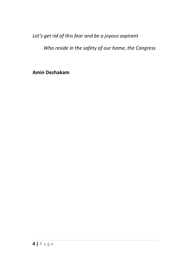*Let's get rid of this fear and be a joyous aspirant*

 *Who reside in the safety of our home, the Congress* 

**Amin Dezhakam**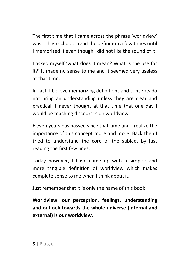The first time that I came across the phrase 'worldview' was in high school. I read the definition a few times until I memorized it even though I did not like the sound of it.

I asked myself 'what does it mean? What is the use for it?' It made no sense to me and it seemed very useless at that time.

In fact, I believe memorizing definitions and concepts do not bring an understanding unless they are clear and practical. I never thought at that time that one day I would be teaching discourses on worldview.

Eleven years has passed since that time and I realize the importance of this concept more and more. Back then I tried to understand the core of the subject by just reading the first few lines.

Today however, I have come up with a simpler and more tangible definition of worldview which makes complete sense to me when I think about it.

Just remember that it is only the name of this book.

**Worldview: our perception, feelings, understanding and outlook towards the whole universe (internal and external) is our worldview.**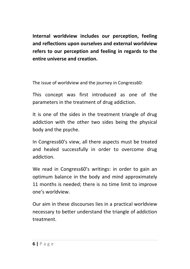**Internal worldview includes our perception, feeling and reflections upon ourselves and external worldview refers to our perception and feeling in regards to the entire universe and creation.** 

The issue of worldview and the journey in Congress60:

This concept was first introduced as one of the parameters in the treatment of drug addiction.

It is one of the sides in the treatment triangle of drug addiction with the other two sides being the physical body and the psyche.

In Congress60's view, all there aspects must be treated and healed successfully in order to overcome drug addiction.

We read in Congress60's writings: in order to gain an optimum balance in the body and mind approximately 11 months is needed; there is no time limit to improve one's worldview.

Our aim in these discourses lies in a practical worldview necessary to better understand the triangle of addiction treatment.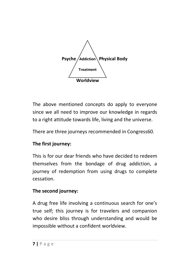

The above mentioned concepts do apply to everyone since we all need to improve our knowledge in regards to a right attitude towards life, living and the universe.

There are three journeys recommended in Congress60.

#### **The first journey:**

This is for our dear friends who have decided to redeem themselves from the bondage of drug addiction, a journey of redemption from using drugs to complete cessation.

#### **The second journey:**

A drug free life involving a continuous search for one's true self; this journey is for travelers and companion who desire bliss through understanding and would be impossible without a confident worldview.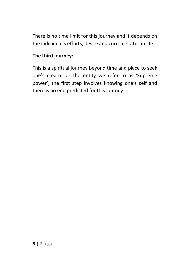There is no time limit for this journey and it depends on the individual's efforts, desire and current status in life.

#### **The third journey:**

This is a spiritual journey beyond time and place to seek one's creator or the entity we refer to as 'Supreme power'; the first step involves knowing one's self and there is no end predicted for this journey.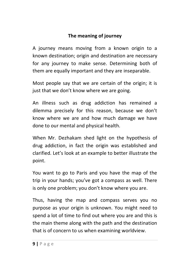#### **The meaning of journey**

A journey means moving from a known origin to a known destination; origin and destination are necessary for any journey to make sense. Determining both of them are equally important and they are inseparable.

Most people say that we are certain of the origin; it is just that we don't know where we are going.

An illness such as drug addiction has remained a dilemma precisely for this reason, because we don't know where we are and how much damage we have done to our mental and physical health.

When Mr. Dezhakam shed light on the hypothesis of drug addiction, in fact the origin was established and clarified. Let's look at an example to better illustrate the point.

You want to go to Paris and you have the map of the trip in your hands; you've got a compass as well. There is only one problem; you don't know where you are.

Thus, having the map and compass serves you no purpose as your origin is unknown. You might need to spend a lot of time to find out where you are and this is the main theme along with the path and the destination that is of concern to us when examining worldview.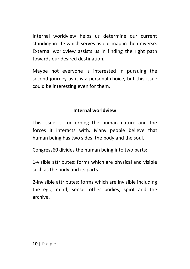Internal worldview helps us determine our current standing in life which serves as our map in the universe. External worldview assists us in finding the right path towards our desired destination.

Maybe not everyone is interested in pursuing the second journey as it is a personal choice, but this issue could be interesting even for them.

#### **Internal worldview**

This issue is concerning the human nature and the forces it interacts with. Many people believe that human being has two sides, the body and the soul.

Congress60 divides the human being into two parts:

1-visible attributes: forms which are physical and visible such as the body and its parts

2-invisible attributes: forms which are invisible including the ego, mind, sense, other bodies, spirit and the archive.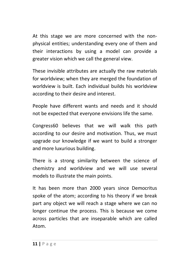At this stage we are more concerned with the nonphysical entities; understanding every one of them and their interactions by using a model can provide a greater vision which we call the general view.

These invisible attributes are actually the raw materials for worldview; when they are merged the foundation of worldview is built. Each individual builds his worldview according to their desire and interest.

People have different wants and needs and it should not be expected that everyone envisions life the same.

Congress60 believes that we will walk this path according to our desire and motivation. Thus, we must upgrade our knowledge if we want to build a stronger and more luxurious building.

There is a strong similarity between the science of chemistry and worldview and we will use several models to illustrate the main points.

It has been more than 2000 years since Democritus spoke of the atom; according to his theory if we break part any object we will reach a stage where we can no longer continue the process. This is because we come across particles that are inseparable which are called Atom.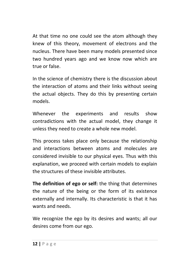At that time no one could see the atom although they knew of this theory, movement of electrons and the nucleus. There have been many models presented since two hundred years ago and we know now which are true or false.

In the science of chemistry there is the discussion about the interaction of atoms and their links without seeing the actual objects. They do this by presenting certain models.

Whenever the experiments and results show contradictions with the actual model, they change it unless they need to create a whole new model.

This process takes place only because the relationship and interactions between atoms and molecules are considered invisible to our physical eyes. Thus with this explanation, we proceed with certain models to explain the structures of these invisible attributes.

**The definition of ego or self:** the thing that determines the nature of the being or the form of its existence externally and internally. Its characteristic is that it has wants and needs.

We recognize the ego by its desires and wants; all our desires come from our ego.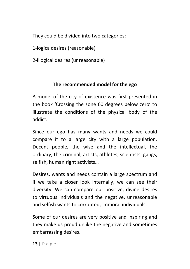They could be divided into two categories:

1-logica desires (reasonable)

2-illogical desires (unreasonable)

#### **The recommended model for the ego**

A model of the city of existence was first presented in the book 'Crossing the zone 60 degrees below zero' to illustrate the conditions of the physical body of the addict.

Since our ego has many wants and needs we could compare it to a large city with a large population. Decent people, the wise and the intellectual, the ordinary, the criminal, artists, athletes, scientists, gangs, selfish, human right activists…

Desires, wants and needs contain a large spectrum and if we take a closer look internally, we can see their diversity. We can compare our positive, divine desires to virtuous individuals and the negative, unreasonable and selfish wants to corrupted, immoral individuals.

Some of our desires are very positive and inspiring and they make us proud unlike the negative and sometimes embarrassing desires.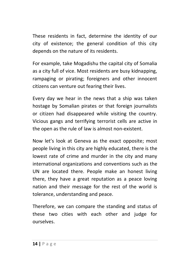These residents in fact, determine the identity of our city of existence; the general condition of this city depends on the nature of its residents.

For example, take Mogadishu the capital city of Somalia as a city full of vice. Most residents are busy kidnapping, rampaging or pirating; foreigners and other innocent citizens can venture out fearing their lives.

Every day we hear in the news that a ship was taken hostage by Somalian pirates or that foreign journalists or citizen had disappeared while visiting the country. Vicious gangs and terrifying terrorist cells are active in the open as the rule of law is almost non-existent.

Now let's look at Geneva as the exact opposite; most people living in this city are highly educated, there is the lowest rate of crime and murder in the city and many international organizations and conventions such as the UN are located there. People make an honest living there, they have a great reputation as a peace loving nation and their message for the rest of the world is tolerance, understanding and peace.

Therefore, we can compare the standing and status of these two cities with each other and judge for ourselves.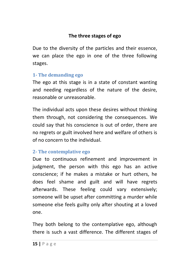#### **The three stages of ego**

Due to the diversity of the particles and their essence, we can place the ego in one of the three following stages.

#### **1- The demanding ego**

The ego at this stage is in a state of constant wanting and needing regardless of the nature of the desire, reasonable or unreasonable.

The individual acts upon these desires without thinking them through, not considering the consequences. We could say that his conscience is out of order, there are no regrets or guilt involved here and welfare of others is of no concern to the individual.

#### **2- The contemplative ego**

Due to continuous refinement and improvement in judgment, the person with this ego has an active conscience; if he makes a mistake or hurt others, he does feel shame and guilt and will have regrets afterwards. These feeling could vary extensively; someone will be upset after committing a murder while someone else feels guilty only after shouting at a loved one.

They both belong to the contemplative ego, although there is such a vast difference. The different stages of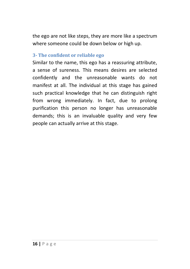the ego are not like steps, they are more like a spectrum where someone could be down below or high up.

#### **3- The confident or reliable ego**

Similar to the name, this ego has a reassuring attribute, a sense of sureness. This means desires are selected confidently and the unreasonable wants do not manifest at all. The individual at this stage has gained such practical knowledge that he can distinguish right from wrong immediately. In fact, due to prolong purification this person no longer has unreasonable demands; this is an invaluable quality and very few people can actually arrive at this stage.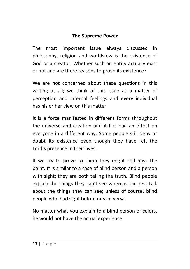#### **The Supreme Power**

The most important issue always discussed in philosophy, religion and worldview is the existence of God or a creator. Whether such an entity actually exist or not and are there reasons to prove its existence?

We are not concerned about these questions in this writing at all; we think of this issue as a matter of perception and internal feelings and every individual has his or her view on this matter.

It is a force manifested in different forms throughout the universe and creation and it has had an effect on everyone in a different way. Some people still deny or doubt its existence even though they have felt the Lord's presence in their lives.

If we try to prove to them they might still miss the point. It is similar to a case of blind person and a person with sight; they are both telling the truth. Blind people explain the things they can't see whereas the rest talk about the things they can see; unless of course, blind people who had sight before or vice versa.

No matter what you explain to a blind person of colors, he would not have the actual experience.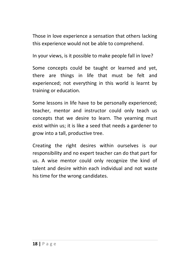Those in love experience a sensation that others lacking this experience would not be able to comprehend.

In your views, is it possible to make people fall in love?

Some concepts could be taught or learned and yet, there are things in life that must be felt and experienced; not everything in this world is learnt by training or education.

Some lessons in life have to be personally experienced; teacher, mentor and instructor could only teach us concepts that we desire to learn. The yearning must exist within us; it is like a seed that needs a gardener to grow into a tall, productive tree.

Creating the right desires within ourselves is our responsibility and no expert teacher can do that part for us. A wise mentor could only recognize the kind of talent and desire within each individual and not waste his time for the wrong candidates.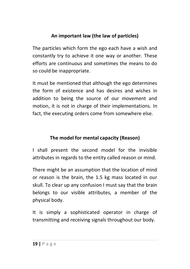#### **An important law (the law of particles)**

The particles which form the ego each have a wish and constantly try to achieve it one way or another. These efforts are continuous and sometimes the means to do so could be inappropriate.

It must be mentioned that although the ego determines the form of existence and has desires and wishes in addition to being the source of our movement and motion, it is not in charge of their implementations. In fact, the executing orders come from somewhere else.

#### **The model for mental capacity (Reason)**

I shall present the second model for the invisible attributes in regards to the entity called reason or mind.

There might be an assumption that the location of mind or reason is the brain, the 1.5 kg mass located in our skull. To clear up any confusion I must say that the brain belongs to our visible attributes, a member of the physical body.

It is simply a sophisticated operator in charge of transmitting and receiving signals throughout our body.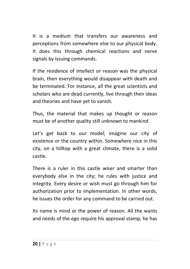It is a medium that transfers our awareness and perceptions from somewhere else to our physical body. It does this through chemical reactions and nerve signals by issuing commands.

If the residence of intellect or reason was the physical brain, then everything would disappear with death and be terminated. For instance, all the great scientists and scholars who are dead currently, live through their ideas and theories and have yet to vanish.

Thus, the material that makes up thought or reason must be of another quality still unknown to mankind.

Let's get back to our model; imagine our city of existence or the country within. Somewhere nice in this city, on a hilltop with a great climate, there is a solid castle.

There is a ruler in this castle wiser and smarter than everybody else in the city; he rules with justice and integrity. Every desire or wish must go through him for authorization prior to implementation. In other words, he issues the order for any command to be carried out.

Its name is mind or the power of reason. All the wants and needs of the ego require his approval stamp; he has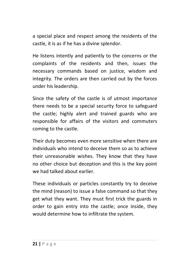a special place and respect among the residents of the castle, it is as if he has a divine splendor.

He listens intently and patiently to the concerns or the complaints of the residents and then, issues the necessary commands based on justice, wisdom and integrity. The orders are then carried out by the forces under his leadership.

Since the safety of the castle is of utmost importance there needs to be a special security force to safeguard the castle; highly alert and trained guards who are responsible for affairs of the visitors and commuters coming to the castle.

Their duty becomes even more sensitive when there are individuals who intend to deceive them so as to achieve their unreasonable wishes. They know that they have no other choice but deception and this is the key point we had talked about earlier.

These individuals or particles constantly try to deceive the mind (reason) to issue a false command so that they get what they want. They must first trick the guards in order to gain entry into the castle; once inside, they would determine how to infiltrate the system.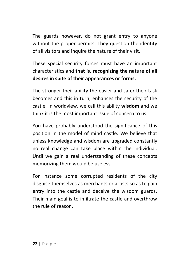The guards however, do not grant entry to anyone without the proper permits. They question the identity of all visitors and inquire the nature of their visit.

These special security forces must have an important characteristics and **that is, recognizing the nature of all desires in spite of their appearances or forms.** 

The stronger their ability the easier and safer their task becomes and this in turn, enhances the security of the castle. In worldview, we call this ability **wisdom** and we think it is the most important issue of concern to us.

You have probably understood the significance of this position in the model of mind castle. We believe that unless knowledge and wisdom are upgraded constantly no real change can take place within the individual. Until we gain a real understanding of these concepts memorizing them would be useless.

For instance some corrupted residents of the city disguise themselves as merchants or artists so as to gain entry into the castle and deceive the wisdom guards. Their main goal is to infiltrate the castle and overthrow the rule of reason.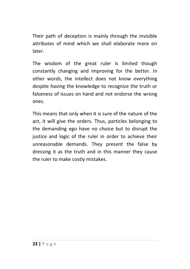Their path of deception is mainly through the invisible attributes of mind which we shall elaborate more on later.

The wisdom of the great ruler is limited though constantly changing and improving for the better. In other words, the intellect does not know everything despite having the knowledge to recognize the truth or falseness of issues on hand and not endorse the wrong ones.

This means that only when it is sure of the nature of the act, it will give the orders. Thus, particles belonging to the demanding ego have no choice but to disrupt the justice and logic of the ruler in order to achieve their unreasonable demands. They present the false by dressing it as the truth and in this manner they cause the ruler to make costly mistakes.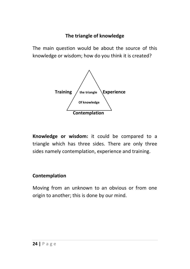#### **The triangle of knowledge**

The main question would be about the source of this knowledge or wisdom; how do you think it is created?



**Knowledge or wisdom:** it could be compared to a triangle which has three sides. There are only three sides namely contemplation, experience and training.

#### **Contemplation**

Moving from an unknown to an obvious or from one origin to another; this is done by our mind.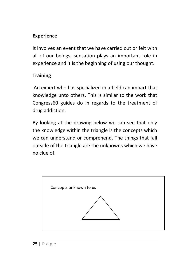#### **Experience**

It involves an event that we have carried out or felt with all of our beings; sensation plays an important role in experience and it is the beginning of using our thought.

#### **Training**

 An expert who has specialized in a field can impart that knowledge unto others. This is similar to the work that Congress60 guides do in regards to the treatment of drug addiction.

By looking at the drawing below we can see that only the knowledge within the triangle is the concepts which we can understand or comprehend. The things that fall outside of the triangle are the unknowns which we have no clue of.

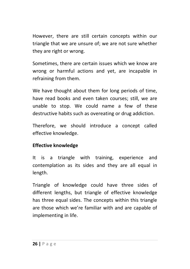However, there are still certain concepts within our triangle that we are unsure of; we are not sure whether they are right or wrong.

Sometimes, there are certain issues which we know are wrong or harmful actions and yet, are incapable in refraining from them.

We have thought about them for long periods of time, have read books and even taken courses; still, we are unable to stop. We could name a few of these destructive habits such as overeating or drug addiction.

Therefore, we should introduce a concept called effective knowledge.

#### **Effective knowledge**

It is a triangle with training, experience and contemplation as its sides and they are all equal in length.

Triangle of knowledge could have three sides of different lengths, but triangle of effective knowledge has three equal sides. The concepts within this triangle are those which we're familiar with and are capable of implementing in life.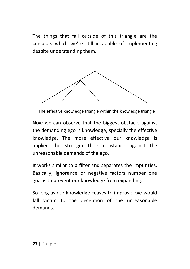The things that fall outside of this triangle are the concepts which we're still incapable of implementing despite understanding them.



The effective knowledge triangle within the knowledge triangle

Now we can observe that the biggest obstacle against the demanding ego is knowledge, specially the effective knowledge. The more effective our knowledge is applied the stronger their resistance against the unreasonable demands of the ego.

It works similar to a filter and separates the impurities. Basically, ignorance or negative factors number one goal is to prevent our knowledge from expanding.

So long as our knowledge ceases to improve, we would fall victim to the deception of the unreasonable demands.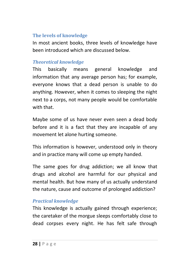#### **The levels of knowledge**

In most ancient books, three levels of knowledge have been introduced which are discussed below.

#### *Theoretical knowledge*

This basically means general knowledge and information that any average person has; for example, everyone knows that a dead person is unable to do anything. However, when it comes to sleeping the night next to a corps, not many people would be comfortable with that.

Maybe some of us have never even seen a dead body before and it is a fact that they are incapable of any movement let alone hurting someone.

This information is however, understood only in theory and in practice many will come up empty handed.

The same goes for drug addiction; we all know that drugs and alcohol are harmful for our physical and mental health. But how many of us actually understand the nature, cause and outcome of prolonged addiction?

#### *Practical knowledge*

This knowledge is actually gained through experience; the caretaker of the morgue sleeps comfortably close to dead corpses every night. He has felt safe through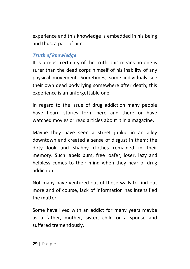experience and this knowledge is embedded in his being and thus, a part of him.

#### *Truth of knowledge*

It is utmost certainty of the truth; this means no one is surer than the dead corps himself of his inability of any physical movement. Sometimes, some individuals see their own dead body lying somewhere after death; this experience is an unforgettable one.

In regard to the issue of drug addiction many people have heard stories form here and there or have watched movies or read articles about it in a magazine.

Maybe they have seen a street junkie in an alley downtown and created a sense of disgust in them; the dirty look and shabby clothes remained in their memory. Such labels bum, free loafer, loser, lazy and helpless comes to their mind when they hear of drug addiction.

Not many have ventured out of these walls to find out more and of course, lack of information has intensified the matter.

Some have lived with an addict for many years maybe as a father, mother, sister, child or a spouse and suffered tremendously.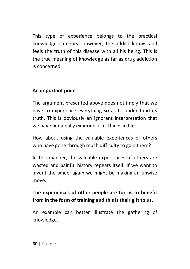This type of experience belongs to the practical knowledge category; however, the addict knows and feels the truth of this disease with all his being. This is the true meaning of knowledge as far as drug addiction is concerned.

#### **An important point**

The argument presented above does not imply that we have to experience everything so as to understand its truth. This is obviously an ignorant interpretation that we have personally experience all things in life.

How about using the valuable experiences of others who have gone through much difficulty to gain them?

In this manner, the valuable experiences of others are wasted and painful history repeats itself. If we want to invent the wheel again we might be making an unwise move.

#### **The experiences of other people are for us to benefit from in the form of training and this is their gift to us.**

An example can better illustrate the gathering of knowledge.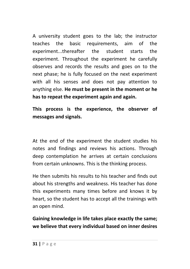A university student goes to the lab; the instructor teaches the basic requirements, aim of the experiment...thereafter the student starts the experiment. Throughout the experiment he carefully observes and records the results and goes on to the next phase; he is fully focused on the next experiment with all his senses and does not pay attention to anything else. **He must be present in the moment or he has to repeat the experiment again and again.** 

**This process is the experience, the observer of messages and signals.** 

At the end of the experiment the student studies his notes and findings and reviews his actions. Through deep contemplation he arrives at certain conclusions from certain unknowns. This is the thinking process.

He then submits his results to his teacher and finds out about his strengths and weakness. His teacher has done this experiments many times before and knows it by heart, so the student has to accept all the trainings with an open mind.

**Gaining knowledge in life takes place exactly the same; we believe that every individual based on inner desires**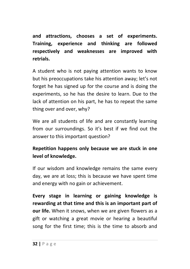**and attractions, chooses a set of experiments. Training, experience and thinking are followed respectively and weaknesses are improved with retrials.** 

A student who is not paying attention wants to know but his preoccupations take his attention away; let's not forget he has signed up for the course and is doing the experiments, so he has the desire to learn. Due to the lack of attention on his part, he has to repeat the same thing over and over, why?

We are all students of life and are constantly learning from our surroundings. So it's best if we find out the answer to this important question?

#### **Repetition happens only because we are stuck in one level of knowledge.**

If our wisdom and knowledge remains the same every day, we are at loss; this is because we have spent time and energy with no gain or achievement.

**Every stage in learning or gaining knowledge is rewarding at that time and this is an important part of our life.** When it snows, when we are given flowers as a gift or watching a great movie or hearing a beautiful song for the first time; this is the time to absorb and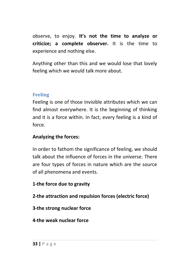observe, to enjoy. **It's not the time to analyze or criticize; a complete observer.** It is the time to experience and nothing else.

Anything other than this and we would lose that lovely feeling which we would talk more about.

#### **Feeling**

Feeling is one of those invisible attributes which we can find almost everywhere. It is the beginning of thinking and it is a force within. In fact, every feeling is a kind of force.

#### **Analyzing the forces:**

In order to fathom the significance of feeling, we should talk about the influence of forces in the universe. There are four types of forces in nature which are the source of all phenomena and events.

#### **1-the force due to gravity**

**2-the attraction and repulsion forces (electric force)** 

#### **3-the strong nuclear force**

#### **4-the weak nuclear force**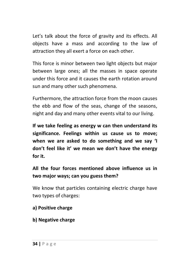Let's talk about the force of gravity and its effects. All objects have a mass and according to the law of attraction they all exert a force on each other.

This force is minor between two light objects but major between large ones; all the masses in space operate under this force and it causes the earth rotation around sun and many other such phenomena.

Furthermore, the attraction force from the moon causes the ebb and flow of the seas, change of the seasons, night and day and many other events vital to our living.

**If we take feeling as energy w can then understand its significance. Feelings within us cause us to move; when we are asked to do something and we say 'I don't feel like it' we mean we don't have the energy for it.** 

**All the four forces mentioned above influence us in two major ways; can you guess them?** 

We know that particles containing electric charge have two types of charges:

- **a) Positive charge**
- **b) Negative charge**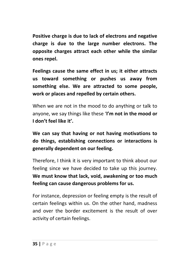**Positive charge is due to lack of electrons and negative charge is due to the large number electrons. The opposite charges attract each other while the similar ones repel.** 

**Feelings cause the same effect in us; it either attracts us toward something or pushes us away from something else. We are attracted to some people, work or places and repelled by certain others.** 

When we are not in the mood to do anything or talk to anyone, we say things like these '**I'm not in the mood or I don't feel like it'.** 

**We can say that having or not having motivations to do things, establishing connections or interactions is generally dependent on our feeling.** 

Therefore, I think it is very important to think about our feeling since we have decided to take up this journey. **We must know that lack, void, awakening or too much feeling can cause dangerous problems for us.** 

For instance, depression or feeling empty is the result of certain feelings within us. On the other hand, madness and over the border excitement is the result of over activity of certain feelings.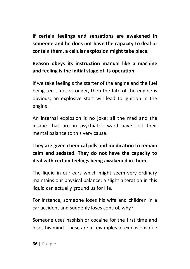**If certain feelings and sensations are awakened in someone and he does not have the capacity to deal or contain them, a cellular explosion might take place.**

## **Reason obeys its instruction manual like a machine and feeling is the initial stage of its operation.**

If we take feeling s the starter of the engine and the fuel being ten times stronger, then the fate of the engine is obvious; an explosive start will lead to ignition in the engine.

An internal explosion is no joke; all the mad and the insane that are in psychiatric ward have lost their mental balance to this very cause.

# **They are given chemical pills and medication to remain calm and sedated. They do not have the capacity to deal with certain feelings being awakened in them.**

The liquid in our ears which might seem very ordinary maintains our physical balance; a slight alteration in this liquid can actually ground us for life.

For instance, someone loses his wife and children in a car accident and suddenly loses control, why?

Someone uses hashish or cocaine for the first time and loses his mind. These are all examples of explosions due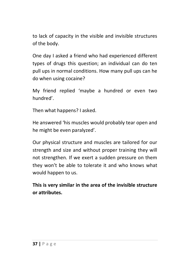to lack of capacity in the visible and invisible structures of the body.

One day I asked a friend who had experienced different types of drugs this question; an individual can do ten pull ups in normal conditions. How many pull ups can he do when using cocaine?

My friend replied 'maybe a hundred or even two hundred'.

Then what happens? I asked.

He answered 'his muscles would probably tear open and he might be even paralyzed'.

Our physical structure and muscles are tailored for our strength and size and without proper training they will not strengthen. If we exert a sudden pressure on them they won't be able to tolerate it and who knows what would happen to us.

**This is very similar in the area of the invisible structure or attributes.**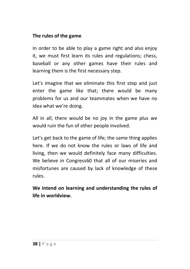#### **The rules of the game**

In order to be able to play a game right and also enjoy it, we must first learn its rules and regulations; chess, baseball or any other games have their rules and learning them is the first necessary step.

Let's imagine that we eliminate this first step and just enter the game like that; there would be many problems for us and our teammates when we have no idea what we're doing.

All in all, there would be no joy in the game plus we would ruin the fun of other people involved.

Let's get back to the game of life; the same thing applies here. If we do not know the rules or laws of life and living, then we would definitely face many difficulties. We believe in Congress60 that all of our miseries and misfortunes are caused by lack of knowledge of these rules.

**We intend on learning and understanding the rules of life in worldview.**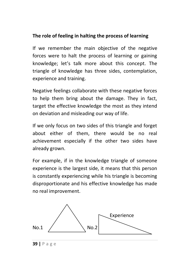#### **The role of feeling in halting the process of learning**

If we remember the main objective of the negative forces were to halt the process of learning or gaining knowledge; let's talk more about this concept. The triangle of knowledge has three sides, contemplation, experience and training.

Negative feelings collaborate with these negative forces to help them bring about the damage. They in fact, target the effective knowledge the most as they intend on deviation and misleading our way of life.

If we only focus on two sides of this triangle and forget about either of them, there would be no real achievement especially if the other two sides have already grown.

For example, if in the knowledge triangle of someone experience is the largest side, it means that this person is constantly experiencing while his triangle is becoming disproportionate and his effective knowledge has made no real improvement.



**39 |** P a g e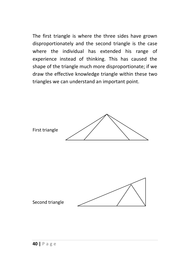The first triangle is where the three sides have grown disproportionately and the second triangle is the case where the individual has extended his range of experience instead of thinking. This has caused the shape of the triangle much more disproportionate; if we draw the effective knowledge triangle within these two triangles we can understand an important point.

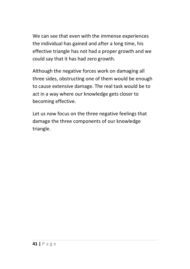We can see that even with the immense experiences the individual has gained and after a long time, his effective triangle has not had a proper growth and we could say that it has had zero growth.

Although the negative forces work on damaging all three sides, obstructing one of them would be enough to cause extensive damage. The real task would be to act in a way where our knowledge gets closer to becoming effective.

Let us now focus on the three negative feelings that damage the three components of our knowledge triangle.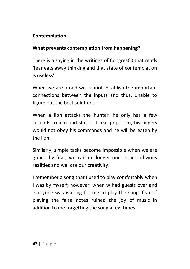### **Contemplation**

#### **What prevents contemplation from happening?**

There is a saying in the writings of Congres60 that reads 'fear eats away thinking and that state of contemplation is useless'.

When we are afraid we cannot establish the important connections between the inputs and thus, unable to figure out the best solutions.

When a lion attacks the hunter, he only has a few seconds to aim and shoot. If fear grips him, his fingers would not obey his commands and he will be eaten by the lion.

Similarly, simple tasks become impossible when we are griped by fear; we can no longer understand obvious realities and we lose our creativity.

I remember a song that I used to play comfortably when I was by myself; however, when w had guests over and everyone was waiting for me to play the song, fear of playing the false notes ruined the joy of music in addition to me forgetting the song a few times.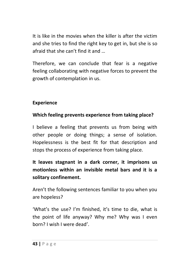It is like in the movies when the killer is after the victim and she tries to find the right key to get in, but she is so afraid that she can't find it and …

Therefore, we can conclude that fear is a negative feeling collaborating with negative forces to prevent the growth of contemplation in us.

### **Experience**

## **Which feeling prevents experience from taking place?**

I believe a feeling that prevents us from being with other people or doing things; a sense of isolation. Hopelessness is the best fit for that description and stops the process of experience from taking place.

**It leaves stagnant in a dark corner, it imprisons us motionless within an invisible metal bars and it is a solitary confinement.** 

Aren't the following sentences familiar to you when you are hopeless?

'What's the use? I'm finished, it's time to die, what is the point of life anyway? Why me? Why was I even born? I wish I were dead'.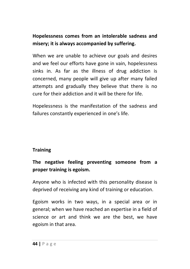## **Hopelessness comes from an intolerable sadness and misery; it is always accompanied by suffering.**

When we are unable to achieve our goals and desires and we feel our efforts have gone in vain, hopelessness sinks in. As far as the illness of drug addiction is concerned, many people will give up after many failed attempts and gradually they believe that there is no cure for their addiction and it will be there for life.

Hopelessness is the manifestation of the sadness and failures constantly experienced in one's life.

### **Training**

## **The negative feeling preventing someone from a proper training is egoism.**

Anyone who is infected with this personality disease is deprived of receiving any kind of training or education.

Egoism works in two ways, in a special area or in general; when we have reached an expertise in a field of science or art and think we are the best, we have egoism in that area.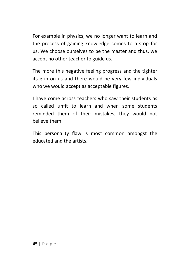For example in physics, we no longer want to learn and the process of gaining knowledge comes to a stop for us. We choose ourselves to be the master and thus, we accept no other teacher to guide us.

The more this negative feeling progress and the tighter its grip on us and there would be very few individuals who we would accept as acceptable figures.

I have come across teachers who saw their students as so called unfit to learn and when some students reminded them of their mistakes, they would not believe them.

This personality flaw is most common amongst the educated and the artists.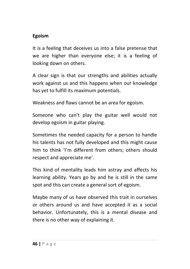#### **Egoism**

It is a feeling that deceives us into a false pretense that we are higher than everyone else; it is a feeling of looking down on others.

A clear sign is that our strengths and abilities actually work against us and this happens when our knowledge has yet to fulfill its maximum potentials.

Weakness and flaws cannot be an area for egoism.

Someone who can't play the guitar well would not develop egoism in guitar playing.

Sometimes the needed capacity for a person to handle his talents has not fully developed and this might cause him to think 'I'm different from others; others should respect and appreciate me'.

This kind of mentality leads him astray and affects his learning ability. Years go by and he is still in the same spot and this can create a general sort of egoism.

Maybe many of us have observed this trait in ourselves or others around us and have accepted it as a social behavior. Unfortunately, this is a mental disease and there is no other way of explaining it.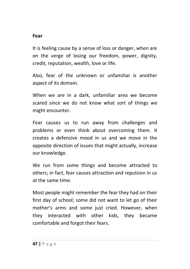#### **Fear**

It is feeling cause by a sense of loss or danger, when are on the verge of losing our freedom, power, dignity, credit, reputation, wealth, love or life.

Also, fear of the unknown or unfamiliar is another aspect of its domain.

When we are in a dark, unfamiliar area we become scared since we do not know what sort of things we might encounter.

Fear causes us to run away from challenges and problems or even think about overcoming them. It creates a defensive mood in us and we move in the opposite direction of issues that might actually, increase our knowledge.

We run from some things and become attracted to others; in fact, fear causes attraction and repulsion in us at the same time.

Most people might remember the fear they had on their first day of school; some did not want to let go of their mother's arms and some just cried. However, when they interacted with other kids, they became comfortable and forgot their fears.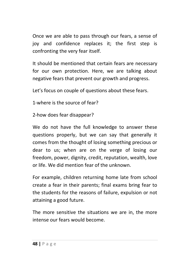Once we are able to pass through our fears, a sense of joy and confidence replaces it; the first step is confronting the very fear itself.

It should be mentioned that certain fears are necessary for our own protection. Here, we are talking about negative fears that prevent our growth and progress.

Let's focus on couple of questions about these fears.

1-where is the source of fear?

2-how does fear disappear?

We do not have the full knowledge to answer these questions properly, but we can say that generally it comes from the thought of losing something precious or dear to us; when are on the verge of losing our freedom, power, dignity, credit, reputation, wealth, love or life. We did mention fear of the unknown.

For example, children returning home late from school create a fear in their parents; final exams bring fear to the students for the reasons of failure, expulsion or not attaining a good future.

The more sensitive the situations we are in, the more intense our fears would become.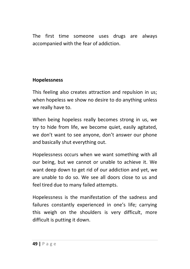The first time someone uses drugs are always accompanied with the fear of addiction.

### **Hopelessness**

This feeling also creates attraction and repulsion in us; when hopeless we show no desire to do anything unless we really have to.

When being hopeless really becomes strong in us, we try to hide from life, we become quiet, easily agitated, we don't want to see anyone, don't answer our phone and basically shut everything out.

Hopelessness occurs when we want something with all our being, but we cannot or unable to achieve it. We want deep down to get rid of our addiction and yet, we are unable to do so. We see all doors close to us and feel tired due to many failed attempts.

Hopelessness is the manifestation of the sadness and failures constantly experienced in one's life; carrying this weigh on the shoulders is very difficult, more difficult is putting it down.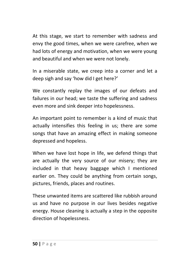At this stage, we start to remember with sadness and envy the good times, when we were carefree, when we had lots of energy and motivation, when we were young and beautiful and when we were not lonely.

In a miserable state, we creep into a corner and let a deep sigh and say 'how did I get here?'

We constantly replay the images of our defeats and failures in our head; we taste the suffering and sadness even more and sink deeper into hopelessness.

An important point to remember is a kind of music that actually intensifies this feeling in us; there are some songs that have an amazing effect in making someone depressed and hopeless.

When we have lost hope in life, we defend things that are actually the very source of our misery; they are included in that heavy baggage which I mentioned earlier on. They could be anything from certain songs, pictures, friends, places and routines.

These unwanted items are scattered like rubbish around us and have no purpose in our lives besides negative energy. House cleaning is actually a step in the opposite direction of hopelessness.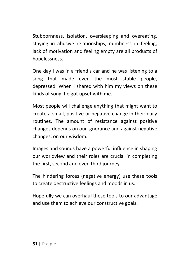Stubbornness, isolation, oversleeping and overeating, staying in abusive relationships, numbness in feeling, lack of motivation and feeling empty are all products of hopelessness.

One day I was in a friend's car and he was listening to a song that made even the most stable people, depressed. When I shared with him my views on these kinds of song, he got upset with me.

Most people will challenge anything that might want to create a small, positive or negative change in their daily routines. The amount of resistance against positive changes depends on our ignorance and against negative changes, on our wisdom.

Images and sounds have a powerful influence in shaping our worldview and their roles are crucial in completing the first, second and even third journey.

The hindering forces (negative energy) use these tools to create destructive feelings and moods in us.

Hopefully we can overhaul these tools to our advantage and use them to achieve our constructive goals.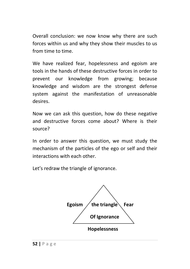Overall conclusion: we now know why there are such forces within us and why they show their muscles to us from time to time.

We have realized fear, hopelessness and egoism are tools in the hands of these destructive forces in order to prevent our knowledge from growing; because knowledge and wisdom are the strongest defense system against the manifestation of unreasonable desires.

Now we can ask this question, how do these negative and destructive forces come about? Where is their source?

In order to answer this question, we must study the mechanism of the particles of the ego or self and their interactions with each other.

Let's redraw the triangle of ignorance.

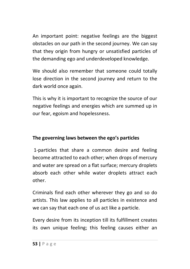An important point: negative feelings are the biggest obstacles on our path in the second journey. We can say that they origin from hungry or unsatisfied particles of the demanding ego and underdeveloped knowledge.

We should also remember that someone could totally lose direction in the second journey and return to the dark world once again.

This is why it is important to recognize the source of our negative feelings and energies which are summed up in our fear, egoism and hopelessness.

### **The governing laws between the ego's particles**

 1-particles that share a common desire and feeling become attracted to each other; when drops of mercury and water are spread on a flat surface; mercury droplets absorb each other while water droplets attract each other.

Criminals find each other wherever they go and so do artists. This law applies to all particles in existence and we can say that each one of us act like a particle.

Every desire from its inception till its fulfillment creates its own unique feeling; this feeling causes either an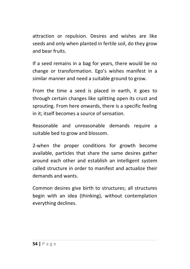attraction or repulsion. Desires and wishes are like seeds and only when planted in fertile soil, do they grow and bear fruits.

If a seed remains in a bag for years, there would be no change or transformation. Ego's wishes manifest in a similar manner and need a suitable ground to grow.

From the time a seed is placed in earth, it goes to through certain changes like splitting open its crust and sprouting. From here onwards, there is a specific feeling in it; itself becomes a source of sensation.

Reasonable and unreasonable demands require a suitable bed to grow and blossom.

2-when the proper conditions for growth become available, particles that share the same desires gather around each other and establish an intelligent system called structure in order to manifest and actualize their demands and wants.

Common desires give birth to structures; all structures begin with an idea (thinking), without contemplation everything declines.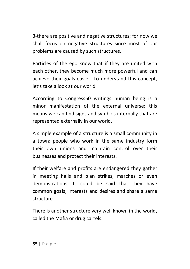3-there are positive and negative structures; for now we shall focus on negative structures since most of our problems are caused by such structures.

Particles of the ego know that if they are united with each other, they become much more powerful and can achieve their goals easier. To understand this concept, let's take a look at our world.

According to Congress60 writings human being is a minor manifestation of the external universe; this means we can find signs and symbols internally that are represented externally in our world.

A simple example of a structure is a small community in a town; people who work in the same industry form their own unions and maintain control over their businesses and protect their interests.

If their welfare and profits are endangered they gather in meeting halls and plan strikes, marches or even demonstrations. It could be said that they have common goals, interests and desires and share a same structure.

There is another structure very well known in the world, called the Mafia or drug cartels.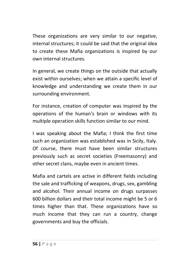These organizations are very similar to our negative, internal structures; it could be said that the original idea to create these Mafia organizations is inspired by our own internal structures.

In general, we create things on the outside that actually exist within ourselves; when we attain a specific level of knowledge and understanding we create them in our surrounding environment.

For instance, creation of computer was inspired by the operations of the human's brain or windows with its multiple operation skills function similar to our mind.

I was speaking about the Mafia; I think the first time such an organization was established was in Sicily, Italy. Of course, there must have been similar structures previously such as secret societies (Freemasonry) and other secret clans, maybe even in ancient times.

Mafia and cartels are active in different fields including the sale and trafficking of weapons, drugs, sex, gambling and alcohol. Their annual income on drugs surpasses 600 billion dollars and their total income might be 5 or 6 times higher than that. These organizations have so much income that they can run a country, change governments and buy the officials.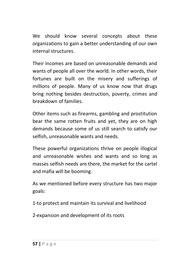We should know several concepts about these organizations to gain a better understanding of our own internal structures.

Their incomes are based on unreasonable demands and wants of people all over the world. In other words, their fortunes are built on the misery and sufferings of millions of people. Many of us know now that drugs bring nothing besides destruction, poverty, crimes and breakdown of families.

Other items such as firearms, gambling and prostitution bear the same rotten fruits and yet, they are on high demands because some of us still search to satisfy our selfish, unreasonable wants and needs.

These powerful organizations thrive on people illogical and unreasonable wishes and wants and so long as masses selfish needs are there, the market for the cartel and mafia will be booming.

As we mentioned before every structure has two major goals:

1-to protect and maintain its survival and livelihood

2-expansion and development of its roots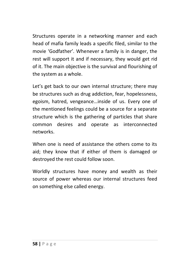Structures operate in a networking manner and each head of mafia family leads a specific filed, similar to the movie 'Godfather'. Whenever a family is in danger, the rest will support it and if necessary, they would get rid of it. The main objective is the survival and flourishing of the system as a whole.

Let's get back to our own internal structure; there may be structures such as drug addiction, fear, hopelessness, egoism, hatred, vengeance…inside of us. Every one of the mentioned feelings could be a source for a separate structure which is the gathering of particles that share common desires and operate as interconnected networks.

When one is need of assistance the others come to its aid; they know that if either of them is damaged or destroyed the rest could follow soon.

Worldly structures have money and wealth as their source of power whereas our internal structures feed on something else called energy.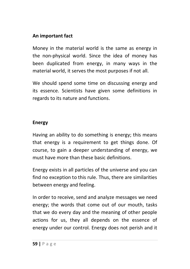### **An important fact**

Money in the material world is the same as energy in the non-physical world. Since the idea of money has been duplicated from energy, in many ways in the material world, it serves the most purposes if not all.

We should spend some time on discussing energy and its essence. Scientists have given some definitions in regards to its nature and functions.

### **Energy**

Having an ability to do something is energy; this means that energy is a requirement to get things done. Of course, to gain a deeper understanding of energy, we must have more than these basic definitions.

Energy exists in all particles of the universe and you can find no exception to this rule. Thus, there are similarities between energy and feeling.

In order to receive, send and analyze messages we need energy; the words that come out of our mouth, tasks that we do every day and the meaning of other people actions for us, they all depends on the essence of energy under our control. Energy does not perish and it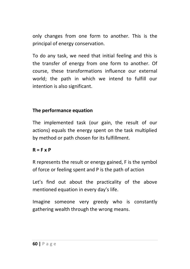only changes from one form to another. This is the principal of energy conservation.

To do any task, we need that initial feeling and this is the transfer of energy from one form to another. Of course, these transformations influence our external world; the path in which we intend to fulfill our intention is also significant.

### **The performance equation**

The implemented task (our gain, the result of our actions) equals the energy spent on the task multiplied by method or path chosen for its fulfillment.

#### **R = F x P**

R represents the result or energy gained, F is the symbol of force or feeling spent and P is the path of action

Let's find out about the practicality of the above mentioned equation in every day's life.

Imagine someone very greedy who is constantly gathering wealth through the wrong means.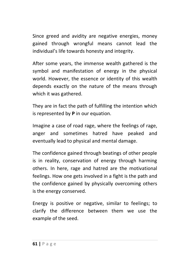Since greed and avidity are negative energies, money gained through wrongful means cannot lead the individual's life towards honesty and integrity.

After some years, the immense wealth gathered is the symbol and manifestation of energy in the physical world. However, the essence or identity of this wealth depends exactly on the nature of the means through which it was gathered.

They are in fact the path of fulfilling the intention which is represented by **P** in our equation.

Imagine a case of road rage, where the feelings of rage, anger and sometimes hatred have peaked and eventually lead to physical and mental damage.

The confidence gained through beatings of other people is in reality, conservation of energy through harming others. In here, rage and hatred are the motivational feelings. How one gets involved in a fight is the path and the confidence gained by physically overcoming others is the energy conserved.

Energy is positive or negative, similar to feelings; to clarify the difference between them we use the example of the seed.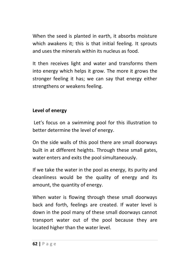When the seed is planted in earth, it absorbs moisture which awakens it: this is that initial feeling. It sprouts and uses the minerals within its nucleus as food.

It then receives light and water and transforms them into energy which helps it grow. The more it grows the stronger feeling it has; we can say that energy either strengthens or weakens feeling.

### **Level of energy**

 Let's focus on a swimming pool for this illustration to better determine the level of energy.

On the side walls of this pool there are small doorways built in at different heights. Through these small gates, water enters and exits the pool simultaneously.

If we take the water in the pool as energy, its purity and cleanliness would be the quality of energy and its amount, the quantity of energy.

When water is flowing through these small doorways back and forth, feelings are created. If water level is down in the pool many of these small doorways cannot transport water out of the pool because they are located higher than the water level.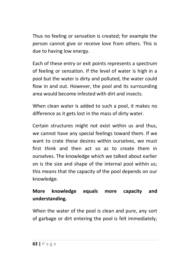Thus no feeling or sensation is created; for example the person cannot give or receive love from others. This is due to having low energy.

Each of these entry or exit points represents a spectrum of feeling or sensation. If the level of water is high in a pool but the water is dirty and polluted, the water could flow in and out. However, the pool and its surrounding area would become infested with dirt and insects.

When clean water is added to such a pool, it makes no difference as it gets lost in the mass of dirty water.

Certain structures might not exist within us and thus, we cannot have any special feelings toward them. If we want to crate these desires within ourselves, we must first think and then act so as to create them in ourselves. The knowledge which we talked about earlier on is the size and shape of the internal pool within us; this means that the capacity of the pool depends on our knowledge.

## **More knowledge equals more capacity and understanding.**

When the water of the pool is clean and pure, any sort of garbage or dirt entering the pool is felt immediately;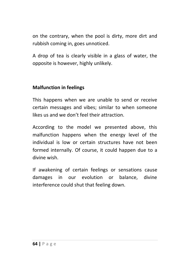on the contrary, when the pool is dirty, more dirt and rubbish coming in, goes unnoticed.

A drop of tea is clearly visible in a glass of water, the opposite is however, highly unlikely.

### **Malfunction in feelings**

This happens when we are unable to send or receive certain messages and vibes; similar to when someone likes us and we don't feel their attraction.

According to the model we presented above, this malfunction happens when the energy level of the individual is low or certain structures have not been formed internally. Of course, it could happen due to a divine wish.

If awakening of certain feelings or sensations cause damages in our evolution or balance, divine interference could shut that feeling down.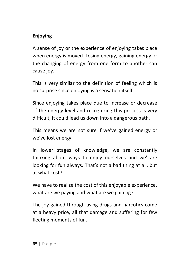## **Enjoying**

A sense of joy or the experience of enjoying takes place when energy is moved. Losing energy, gaining energy or the changing of energy from one form to another can cause joy.

This is very similar to the definition of feeling which is no surprise since enjoying is a sensation itself.

Since enjoying takes place due to increase or decrease of the energy level and recognizing this process is very difficult, it could lead us down into a dangerous path.

This means we are not sure if we've gained energy or we've lost energy.

In lower stages of knowledge, we are constantly thinking about ways to enjoy ourselves and we' are looking for fun always. That's not a bad thing at all, but at what cost?

We have to realize the cost of this enjoyable experience, what are we paying and what are we gaining?

The joy gained through using drugs and narcotics come at a heavy price, all that damage and suffering for few fleeting moments of fun.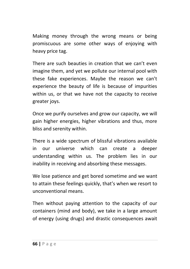Making money through the wrong means or being promiscuous are some other ways of enjoying with heavy price tag.

There are such beauties in creation that we can't even imagine them, and yet we pollute our internal pool with these fake experiences. Maybe the reason we can't experience the beauty of life is because of impurities within us, or that we have not the capacity to receive greater joys.

Once we purify ourselves and grow our capacity, we will gain higher energies, higher vibrations and thus, more bliss and serenity within.

There is a wide spectrum of blissful vibrations available in our universe which can create a deeper understanding within us. The problem lies in our inability in receiving and absorbing these messages.

We lose patience and get bored sometime and we want to attain these feelings quickly, that's when we resort to unconventional means.

Then without paying attention to the capacity of our containers (mind and body), we take in a large amount of energy (using drugs) and drastic consequences await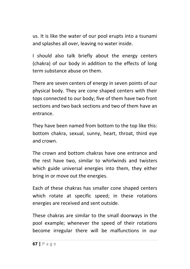us. It is like the water of our pool erupts into a tsunami and splashes all over, leaving no water inside.

I should also talk briefly about the energy centers (chakra) of our body in addition to the effects of long term substance abuse on them.

There are seven centers of energy in seven points of our physical body. They are cone shaped centers with their tops connected to our body; five of them have two front sections and two back sections and two of them have an entrance.

They have been named from bottom to the top like this: bottom chakra, sexual, sunny, heart, throat, third eye and crown.

The crown and bottom chakras have one entrance and the rest have two, similar to whirlwinds and twisters which guide universal energies into them, they either bring in or move out the energies.

Each of these chakras has smaller cone shaped centers which rotate at specific speed; in these rotations energies are received and sent outside.

These chakras are similar to the small doorways in the pool example; whenever the speed of their rotations become irregular there will be malfunctions in our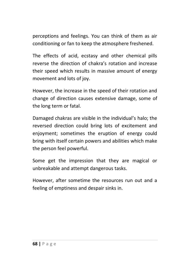perceptions and feelings. You can think of them as air conditioning or fan to keep the atmosphere freshened.

The effects of acid, ecstasy and other chemical pills reverse the direction of chakra's rotation and increase their speed which results in massive amount of energy movement and lots of joy.

However, the increase in the speed of their rotation and change of direction causes extensive damage, some of the long term or fatal.

Damaged chakras are visible in the individual's halo; the reversed direction could bring lots of excitement and enjoyment; sometimes the eruption of energy could bring with itself certain powers and abilities which make the person feel powerful.

Some get the impression that they are magical or unbreakable and attempt dangerous tasks.

However, after sometime the resources run out and a feeling of emptiness and despair sinks in.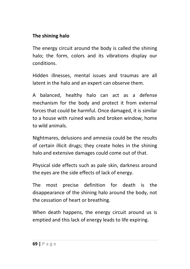### **The shining halo**

The energy circuit around the body is called the shining halo; the form, colors and its vibrations display our conditions.

Hidden illnesses, mental issues and traumas are all latent in the halo and an expert can observe them.

A balanced, healthy halo can act as a defense mechanism for the body and protect it from external forces that could be harmful. Once damaged, it is similar to a house with ruined walls and broken window, home to wild animals.

Nightmares, delusions and amnesia could be the results of certain illicit drugs; they create holes in the shining halo and extensive damages could come out of that.

Physical side effects such as pale skin, darkness around the eyes are the side effects of lack of energy.

The most precise definition for death is the disappearance of the shining halo around the body, not the cessation of heart or breathing.

When death happens, the energy circuit around us is emptied and this lack of energy leads to life expiring.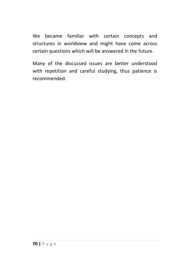We became familiar with certain concepts and structures in worldview and might have come across certain questions which will be answered in the future.

Many of the discussed issues are better understood with repetition and careful studying, thus patience is recommended.